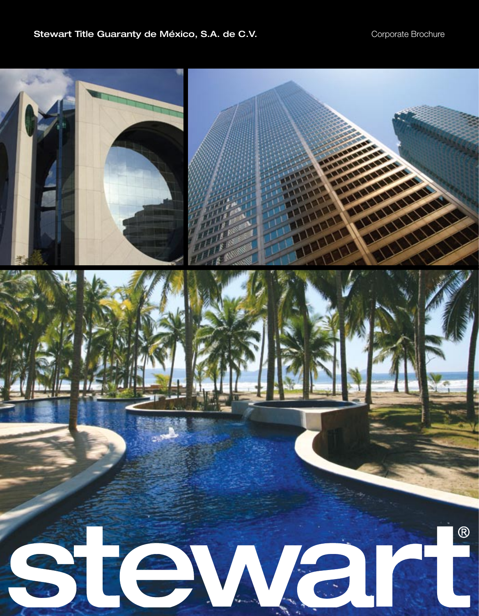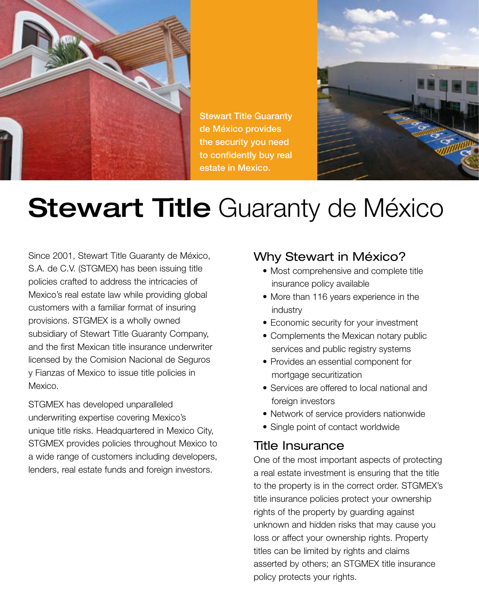

Stewart Title Guaranty de México provides the security you need to confidently buy real estate in Mexico.



# **Stewart Title Guaranty de México**

Since 2001, Stewart Title Guaranty de México, S.A. de C.V. (STGMEX) has been issuing title policies crafted to address the intricacies of Mexico's real estate law while providing global customers with a familiar format of insuring provisions. STGMEX is a wholly owned subsidiary of Stewart Title Guaranty Company, and the first Mexican title insurance underwriter licensed by the Comision Nacional de Seguros y Fianzas of Mexico to issue title policies in Mexico.

STGMEX has developed unparalleled underwriting expertise covering Mexico's unique title risks. Headquartered in Mexico City, STGMEX provides policies throughout Mexico to a wide range of customers including developers, lenders, real estate funds and foreign investors.

### Why Stewart in México?

- Most comprehensive and complete title insurance policy available
- More than 116 years experience in the industry
- Economic security for your investment
- Complements the Mexican notary public services and public registry systems
- Provides an essential component for mortgage securitization
- Services are offered to local national and foreign investors
- Network of service providers nationwide
- Single point of contact worldwide

### Title Insurance

One of the most important aspects of protecting a real estate investment is ensuring that the title to the property is in the correct order. STGMEX's title insurance policies protect your ownership rights of the property by guarding against unknown and hidden risks that may cause you loss or affect your ownership rights. Property titles can be limited by rights and claims asserted by others; an STGMEX title insurance policy protects your rights.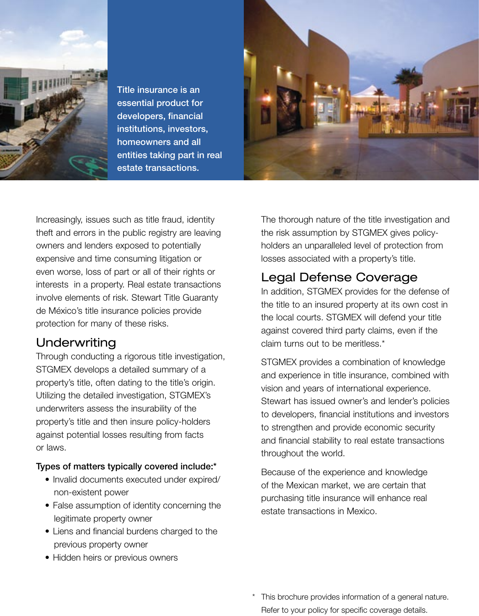

Title insurance is an essential product for developers, financial institutions, investors, homeowners and all entities taking part in real estate transactions.



Increasingly, issues such as title fraud, identity theft and errors in the public registry are leaving owners and lenders exposed to potentially expensive and time consuming litigation or even worse, loss of part or all of their rights or interests in a property. Real estate transactions involve elements of risk. Stewart Title Guaranty de México's title insurance policies provide protection for many of these risks.

### **Underwriting**

Through conducting a rigorous title investigation, STGMEX develops a detailed summary of a property's title, often dating to the title's origin. Utilizing the detailed investigation, STGMEX's underwriters assess the insurability of the property's title and then insure policy-holders against potential losses resulting from facts or laws.

#### Types of matters typically covered include:\*

- Invalid documents executed under expired/ non-existent power
- False assumption of identity concerning the legitimate property owner
- Liens and financial burdens charged to the previous property owner
- Hidden heirs or previous owners

The thorough nature of the title investigation and the risk assumption by STGMEX gives policyholders an unparalleled level of protection from losses associated with a property's title.

## Legal Defense Coverage

In addition, STGMEX provides for the defense of the title to an insured property at its own cost in the local courts. STGMEX will defend your title against covered third party claims, even if the claim turns out to be meritless.\*

STGMEX provides a combination of knowledge and experience in title insurance, combined with vision and years of international experience. Stewart has issued owner's and lender's policies to developers, financial institutions and investors to strengthen and provide economic security and financial stability to real estate transactions throughout the world.

Because of the experience and knowledge of the Mexican market, we are certain that purchasing title insurance will enhance real estate transactions in Mexico.

\* This brochure provides information of a general nature. Refer to your policy for specific coverage details.